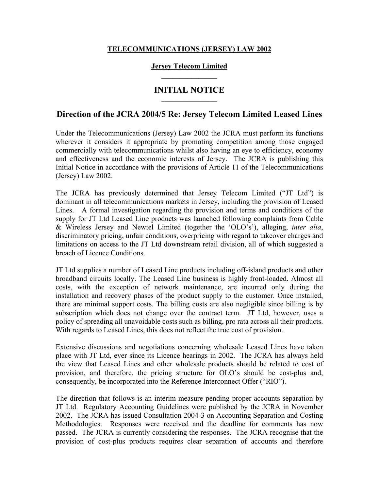## **TELECOMMUNICATIONS (JERSEY) LAW 2002**

### **Jersey Telecom Limited \_\_\_\_\_\_\_\_\_\_\_\_\_\_\_**

# **INITIAL NOTICE**

# **Direction of the JCRA 2004/5 Re: Jersey Telecom Limited Leased Lines**

Under the Telecommunications (Jersey) Law 2002 the JCRA must perform its functions wherever it considers it appropriate by promoting competition among those engaged commercially with telecommunications whilst also having an eye to efficiency, economy and effectiveness and the economic interests of Jersey. The JCRA is publishing this Initial Notice in accordance with the provisions of Article 11 of the Telecommunications (Jersey) Law 2002.

The JCRA has previously determined that Jersey Telecom Limited ("JT Ltd") is dominant in all telecommunications markets in Jersey, including the provision of Leased Lines. A formal investigation regarding the provision and terms and conditions of the supply for JT Ltd Leased Line products was launched following complaints from Cable & Wireless Jersey and Newtel Limited (together the 'OLO's'), alleging, *inter alia*, discriminatory pricing, unfair conditions, overpricing with regard to takeover charges and limitations on access to the JT Ltd downstream retail division, all of which suggested a breach of Licence Conditions.

JT Ltd supplies a number of Leased Line products including off-island products and other broadband circuits locally. The Leased Line business is highly front-loaded. Almost all costs, with the exception of network maintenance, are incurred only during the installation and recovery phases of the product supply to the customer. Once installed, there are minimal support costs. The billing costs are also negligible since billing is by subscription which does not change over the contract term. JT Ltd, however, uses a policy of spreading all unavoidable costs such as billing, pro rata across all their products. With regards to Leased Lines, this does not reflect the true cost of provision.

Extensive discussions and negotiations concerning wholesale Leased Lines have taken place with JT Ltd, ever since its Licence hearings in 2002. The JCRA has always held the view that Leased Lines and other wholesale products should be related to cost of provision, and therefore, the pricing structure for OLO's should be cost-plus and, consequently, be incorporated into the Reference Interconnect Offer ("RIO").

The direction that follows is an interim measure pending proper accounts separation by JT Ltd. Regulatory Accounting Guidelines were published by the JCRA in November 2002. The JCRA has issued Consultation 2004-3 on Accounting Separation and Costing Methodologies. Responses were received and the deadline for comments has now passed. The JCRA is currently considering the responses. The JCRA recognise that the provision of cost-plus products requires clear separation of accounts and therefore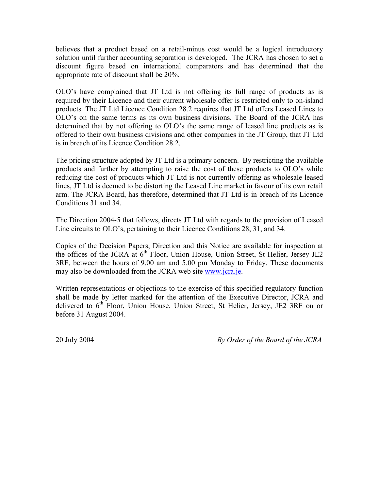believes that a product based on a retail-minus cost would be a logical introductory solution until further accounting separation is developed. The JCRA has chosen to set a discount figure based on international comparators and has determined that the appropriate rate of discount shall be 20%.

OLO's have complained that JT Ltd is not offering its full range of products as is required by their Licence and their current wholesale offer is restricted only to on-island products. The JT Ltd Licence Condition 28.2 requires that JT Ltd offers Leased Lines to OLO's on the same terms as its own business divisions. The Board of the JCRA has determined that by not offering to OLO's the same range of leased line products as is offered to their own business divisions and other companies in the JT Group, that JT Ltd is in breach of its Licence Condition 28.2.

The pricing structure adopted by JT Ltd is a primary concern. By restricting the available products and further by attempting to raise the cost of these products to OLO's while reducing the cost of products which JT Ltd is not currently offering as wholesale leased lines, JT Ltd is deemed to be distorting the Leased Line market in favour of its own retail arm. The JCRA Board, has therefore, determined that JT Ltd is in breach of its Licence Conditions 31 and 34.

The Direction 2004-5 that follows, directs JT Ltd with regards to the provision of Leased Line circuits to OLO's, pertaining to their Licence Conditions 28, 31, and 34.

Copies of the Decision Papers, Direction and this Notice are available for inspection at the offices of the JCRA at  $6<sup>th</sup>$  Floor, Union House, Union Street, St Helier, Jersey JE2 3RF, between the hours of 9.00 am and 5.00 pm Monday to Friday. These documents may also be downloaded from the JCRA web site www.jcra.je.

Written representations or objections to the exercise of this specified regulatory function shall be made by letter marked for the attention of the Executive Director, JCRA and delivered to 6<sup>th</sup> Floor, Union House, Union Street, St Helier, Jersey, JE2 3RF on or before 31 August 2004.

20 July 2004 *By Order of the Board of the JCRA*